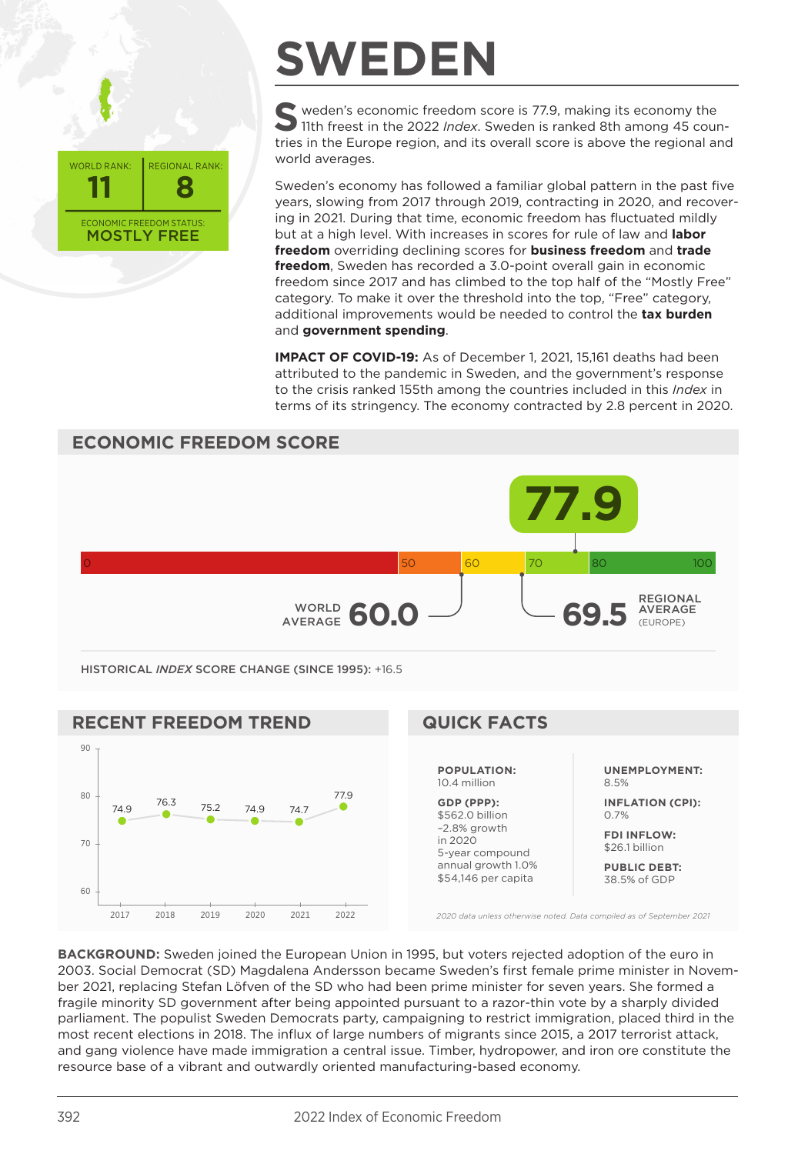

## **SWEDEN**

S<br>
11th freest in the 2022 *Index*. Sweden is ranked 8th among 45 coun-<br>
11th freest in the 2022 *Index*. tries in the Europe region, and its overall score is above the regional and world averages.

Sweden's economy has followed a familiar global pattern in the past five years, slowing from 2017 through 2019, contracting in 2020, and recovering in 2021. During that time, economic freedom has fluctuated mildly but at a high level. With increases in scores for rule of law and **labor freedom** overriding declining scores for **business freedom** and **trade freedom**, Sweden has recorded a 3.0-point overall gain in economic freedom since 2017 and has climbed to the top half of the "Mostly Free" category. To make it over the threshold into the top, "Free" category, additional improvements would be needed to control the **tax burden** and **government spending**.

**IMPACT OF COVID-19:** As of December 1, 2021, 15,161 deaths had been attributed to the pandemic in Sweden, and the government's response to the crisis ranked 155th among the countries included in this *Index* in terms of its stringency. The economy contracted by 2.8 percent in 2020.



**PUBLIC DEBT:** 38.5% of GDP

*2020 data unless otherwise noted. Data compiled as of September 2021*

\$54,146 per capita

**BACKGROUND:** Sweden joined the European Union in 1995, but voters rejected adoption of the euro in 2003. Social Democrat (SD) Magdalena Andersson became Sweden's first female prime minister in November 2021, replacing Stefan Löfven of the SD who had been prime minister for seven years. She formed a fragile minority SD government after being appointed pursuant to a razor-thin vote by a sharply divided parliament. The populist Sweden Democrats party, campaigning to restrict immigration, placed third in the most recent elections in 2018. The influx of large numbers of migrants since 2015, a 2017 terrorist attack, and gang violence have made immigration a central issue. Timber, hydropower, and iron ore constitute the resource base of a vibrant and outwardly oriented manufacturing-based economy.

2017 2018 2019 2020 2021 2022

60